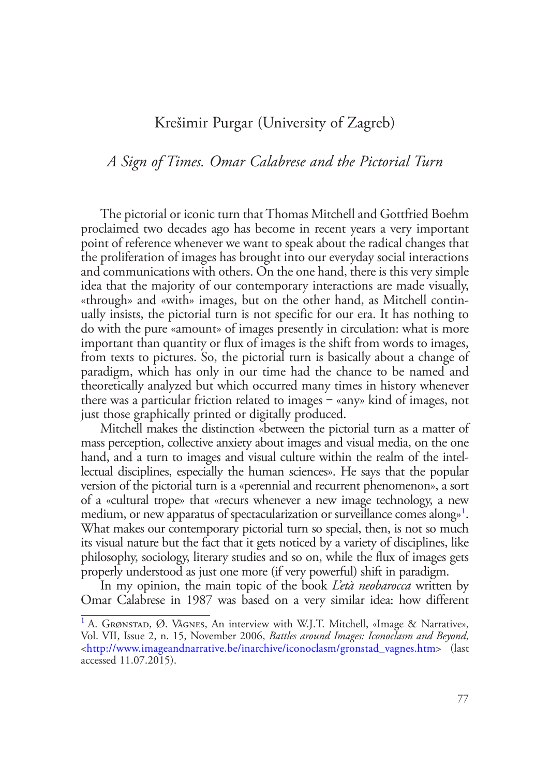## Krešimir Purgar (University of Zagreb)

## *A Sign of Times. Omar Calabrese and the Pictorial Turn*

The pictorial or iconic turn that Thomas Mitchell and Gottfried Boehm proclaimed two decades ago has become in recent years a very important point of reference whenever we want to speak about the radical changes that the proliferation of images has brought into our everyday social interactions and communications with others. On the one hand, there is this very simple idea that the majority of our contemporary interactions are made visually, «through» and «with» images, but on the other hand, as Mitchell continually insists, the pictorial turn is not specific for our era. It has nothing to do with the pure «amount» of images presently in circulation: what is more important than quantity or flux of images is the shift from words to images, from texts to pictures. So, the pictorial turn is basically about a change of paradigm, which has only in our time had the chance to be named and theoretically analyzed but which occurred many times in history whenever there was a particular friction related to images  $-$  «any» kind of images, not just those graphically printed or digitally produced.

Mitchell makes the distinction «between the pictorial turn as a matter of mass perception, collective anxiety about images and visual media, on the one hand, and a turn to images and visual culture within the realm of the intellectual disciplines, especially the human sciences». He says that the popular version of the pictorial turn is a «perennial and recurrent phenomenon», a sort of a «cultural trope» that «recurs whenever a new image technology, a new medium, or new apparatus of spectacularization or surveillance comes along»<sup>[1](#page-0-0)</sup>. What makes our contemporary pictorial turn so special, then, is not so much its visual nature but the fact that it gets noticed by a variety of disciplines, like philosophy, sociology, literary studies and so on, while the flux of images gets properly understood as just one more (if very powerful) shift in paradigm.

<span id="page-0-1"></span>In my opinion, the main topic of the book *L'età neobarocca* written by Omar Calabrese in 1987 was based on a very similar idea: how different

<span id="page-0-0"></span><sup>&</sup>lt;sup>[1](#page-0-1)</sup> A. Grønstad, Ø. Vågnes, An interview with W.J.T. Mitchell, «Image & Narrative», Vol. VII, Issue 2, n. 15, November 2006, *Battles around Images: Iconoclasm and Beyond*, <[http://www.imageandnarrative.be/inarchive/iconoclasm/gronstad\\_vagnes.htm>](http://www.imageandnarrative.be/inarchive/iconoclasm/gronstad_vagnes.htm) (last accessed 11.07.2015).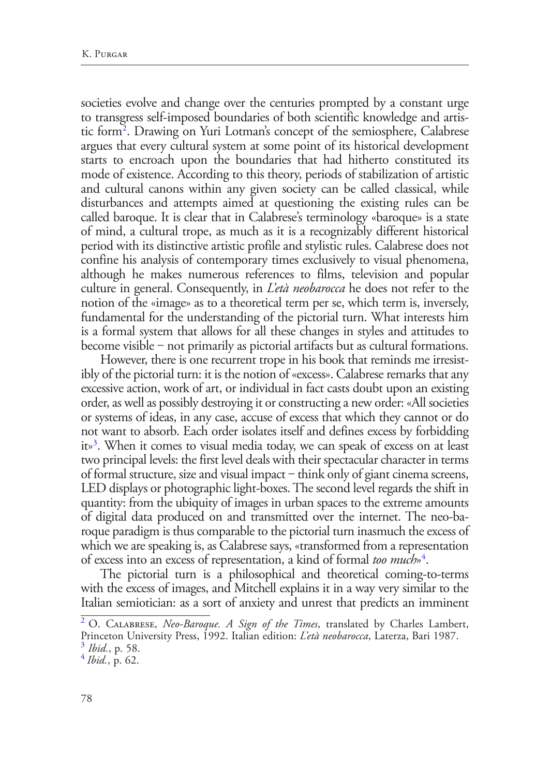<span id="page-1-3"></span>societies evolve and change over the centuries prompted by a constant urge to transgress self-imposed boundaries of both scientific knowledge and artistic form[2](#page-1-0) . Drawing on Yuri Lotman's concept of the semiosphere, Calabrese argues that every cultural system at some point of its historical development starts to encroach upon the boundaries that had hitherto constituted its mode of existence. According to this theory, periods of stabilization of artistic and cultural canons within any given society can be called classical, while disturbances and attempts aimed at questioning the existing rules can be called baroque. It is clear that in Calabrese's terminology «baroque» is a state of mind, a cultural trope, as much as it is a recognizably different historical period with its distinctive artistic profile and stylistic rules. Calabrese does not confine his analysis of contemporary times exclusively to visual phenomena, although he makes numerous references to films, television and popular culture in general. Consequently, in *L'età neobarocca* he does not refer to the notion of the «image» as to a theoretical term per se, which term is, inversely, fundamental for the understanding of the pictorial turn. What interests him is a formal system that allows for all these changes in styles and attitudes to become visible – not primarily as pictorial artifacts but as cultural formations.

<span id="page-1-4"></span>However, there is one recurrent trope in his book that reminds me irresistibly of the pictorial turn: it is the notion of «excess». Calabrese remarks that any excessive action, work of art, or individual in fact casts doubt upon an existing order, as well as possibly destroying it or constructing a new order: «All societies or systems of ideas, in any case, accuse of excess that which they cannot or do not want to absorb. Each order isolates itself and defines excess by forbidding it»[3](#page-1-1) . When it comes to visual media today, we can speak of excess on at least two principal levels: the first level deals with their spectacular character in terms of formal structure, size and visual impact – think only of giant cinema screens, LED displays or photographic light-boxes. The second level regards the shift in quantity: from the ubiquity of images in urban spaces to the extreme amounts of digital data produced on and transmitted over the internet. The neo-baroque paradigm is thus comparable to the pictorial turn inasmuch the excess of which we are speaking is, as Calabrese says, «transformed from a representation of excess into an excess of representation, a kind of formal *too much*<sup>5[4](#page-1-2)</sup>.

<span id="page-1-5"></span>The pictorial turn is a philosophical and theoretical coming-to-terms with the excess of images, and Mitchell explains it in a way very similar to the Italian semiotician: as a sort of anxiety and unrest that predicts an imminent

<span id="page-1-0"></span>[<sup>2</sup>](#page-1-3) O. Calabrese, *Neo-Baroque. A Sign of the Times*, translated by Charles Lambert, Princeton University Press, 1992. Italian edition: *L'età neobarocca*, Laterza, Bari 1987.

<span id="page-1-2"></span><span id="page-1-1"></span>

[<sup>3</sup>](#page-1-4) *Ibid.*, p. 58. [4](#page-1-5) *Ibid.*, p. 62.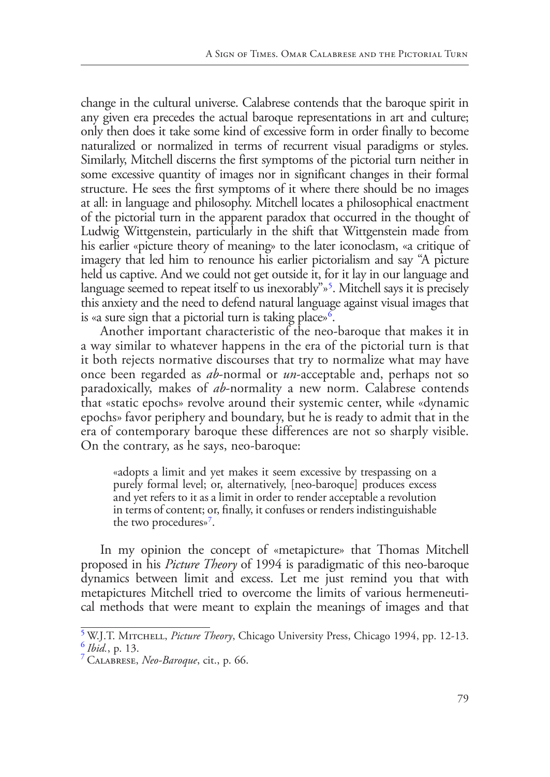change in the cultural universe. Calabrese contends that the baroque spirit in any given era precedes the actual baroque representations in art and culture; only then does it take some kind of excessive form in order finally to become naturalized or normalized in terms of recurrent visual paradigms or styles. Similarly, Mitchell discerns the first symptoms of the pictorial turn neither in some excessive quantity of images nor in significant changes in their formal structure. He sees the first symptoms of it where there should be no images at all: in language and philosophy. Mitchell locates a philosophical enactment of the pictorial turn in the apparent paradox that occurred in the thought of Ludwig Wittgenstein, particularly in the shift that Wittgenstein made from his earlier «picture theory of meaning» to the later iconoclasm, «a critique of imagery that led him to renounce his earlier pictorialism and say "A picture held us captive. And we could not get outside it, for it lay in our language and language seemed to repeat itself to us inexorably"»<sup>[5](#page-2-0)</sup>. Mitchell says it is precisely this anxiety and the need to defend natural language against visual images that is «a sure sign that a pictorial turn is taking place» $^6$ .

<span id="page-2-4"></span><span id="page-2-3"></span>Another important characteristic of the neo-baroque that makes it in a way similar to whatever happens in the era of the pictorial turn is that it both rejects normative discourses that try to normalize what may have once been regarded as *ab*-normal or *un*-acceptable and, perhaps not so paradoxically, makes of *ab*-normality a new norm. Calabrese contends that «static epochs» revolve around their systemic center, while «dynamic epochs» favor periphery and boundary, but he is ready to admit that in the era of contemporary baroque these differences are not so sharply visible. On the contrary, as he says, neo-baroque:

<span id="page-2-5"></span>«adopts a limit and yet makes it seem excessive by trespassing on a purely formal level; or, alternatively, [neo-baroque] produces excess and yet refers to it as a limit in order to render acceptable a revolution in terms of content; or, finally, it confuses or renders indistinguishable the two procedures»<sup>[7](#page-2-2)</sup>.

In my opinion the concept of «metapicture» that Thomas Mitchell proposed in his *Picture Theory* of 1994 is paradigmatic of this neo-baroque dynamics between limit and excess. Let me just remind you that with metapictures Mitchell tried to overcome the limits of various hermeneutical methods that were meant to explain the meanings of images and that

<span id="page-2-1"></span><span id="page-2-0"></span>[<sup>5</sup>](#page-2-3) W.J.T. Mitchell, *Picture Theory*, Chicago University Press, Chicago 1994, pp. 12-13. [6](#page-2-4) *Ibid.*, p. 13. [7](#page-2-5) Calabrese, *Neo-Baroque*, cit., p. 66.

<span id="page-2-2"></span>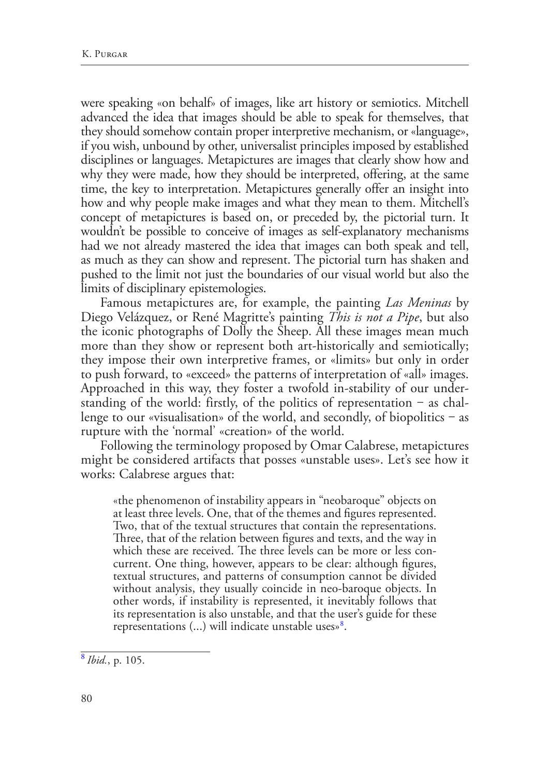were speaking «on behalf» of images, like art history or semiotics. Mitchell advanced the idea that images should be able to speak for themselves, that they should somehow contain proper interpretive mechanism, or «language», if you wish, unbound by other, universalist principles imposed by established disciplines or languages. Metapictures are images that clearly show how and why they were made, how they should be interpreted, offering, at the same time, the key to interpretation. Metapictures generally offer an insight into how and why people make images and what they mean to them. Mitchell's concept of metapictures is based on, or preceded by, the pictorial turn. It wouldn't be possible to conceive of images as self-explanatory mechanisms had we not already mastered the idea that images can both speak and tell, as much as they can show and represent. The pictorial turn has shaken and pushed to the limit not just the boundaries of our visual world but also the limits of disciplinary epistemologies.

Famous metapictures are, for example, the painting *Las Meninas* by Diego Velázquez, or René Magritte's painting *This is not a Pipe*, but also the iconic photographs of Dolly the Sheep. All these images mean much more than they show or represent both art-historically and semiotically; they impose their own interpretive frames, or «limits» but only in order to push forward, to «exceed» the patterns of interpretation of «all» images. Approached in this way, they foster a twofold in-stability of our understanding of the world: firstly, of the politics of representation  $-$  as challenge to our «visualisation» of the world, and secondly, of biopolitics  $-$  as rupture with the 'normal' «creation» of the world.

Following the terminology proposed by Omar Calabrese, metapictures might be considered artifacts that posses «unstable uses». Let's see how it works: Calabrese argues that:

«the phenomenon of instability appears in "neobaroque" objects on at least three levels. One, that of the themes and figures represented. Two, that of the textual structures that contain the representations. Three, that of the relation between figures and texts, and the way in which these are received. The three levels can be more or less concurrent. One thing, however, appears to be clear: although figures, textual structures, and patterns of consumption cannot be divided without analysis, they usually coincide in neo-baroque objects. In other words, if instability is represented, it inevitably follows that its representation is also unstable, and that the user's guide for these representations (...) will indicate unstable uses»<sup>[8](#page-3-0)</sup>.

<span id="page-3-1"></span><span id="page-3-0"></span>[<sup>8</sup>](#page-3-1) *Ibid.*, p. 105.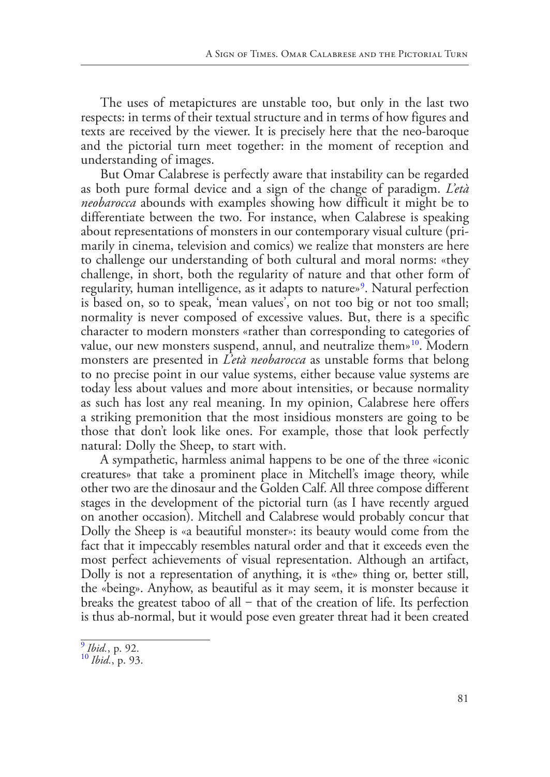The uses of metapictures are unstable too, but only in the last two respects: in terms of their textual structure and in terms of how figures and texts are received by the viewer. It is precisely here that the neo-baroque and the pictorial turn meet together: in the moment of reception and understanding of images.

<span id="page-4-2"></span>But Omar Calabrese is perfectly aware that instability can be regarded as both pure formal device and a sign of the change of paradigm. *L'età neobarocca* abounds with examples showing how difficult it might be to differentiate between the two. For instance, when Calabrese is speaking about representations of monsters in our contemporary visual culture (primarily in cinema, television and comics) we realize that monsters are here to challenge our understanding of both cultural and moral norms: «they challenge, in short, both the regularity of nature and that other form of regularity, human intelligence, as it adapts to nature»<sup>[9](#page-4-0)</sup>. Natural perfection is based on, so to speak, 'mean values', on not too big or not too small; normality is never composed of excessive values. But, there is a specific character to modern monsters «rather than corresponding to categories of value, our new monsters suspend, annul, and neutralize them»<sup>[10](#page-4-1)</sup>. Modern monsters are presented in *L'età neobarocca* as unstable forms that belong to no precise point in our value systems, either because value systems are today less about values and more about intensities, or because normality as such has lost any real meaning. In my opinion, Calabrese here offers a striking premonition that the most insidious monsters are going to be those that don't look like ones. For example, those that look perfectly natural: Dolly the Sheep, to start with.

<span id="page-4-3"></span>A sympathetic, harmless animal happens to be one of the three «iconic creatures» that take a prominent place in Mitchell's image theory, while other two are the dinosaur and the Golden Calf. All three compose different stages in the development of the pictorial turn (as I have recently argued on another occasion). Mitchell and Calabrese would probably concur that Dolly the Sheep is «a beautiful monster»: its beauty would come from the fact that it impeccably resembles natural order and that it exceeds even the most perfect achievements of visual representation. Although an artifact, Dolly is not a representation of anything, it is «the» thing or, better still, the «being». Anyhow, as beautiful as it may seem, it is monster because it breaks the greatest taboo of all  $-$  that of the creation of life. Its perfection is thus ab-normal, but it would pose even greater threat had it been created

<span id="page-4-1"></span>

<span id="page-4-0"></span>[<sup>9</sup>](#page-4-2) *Ibid.*, p. 92. [10](#page-4-3) *Ibid.*, p. 93.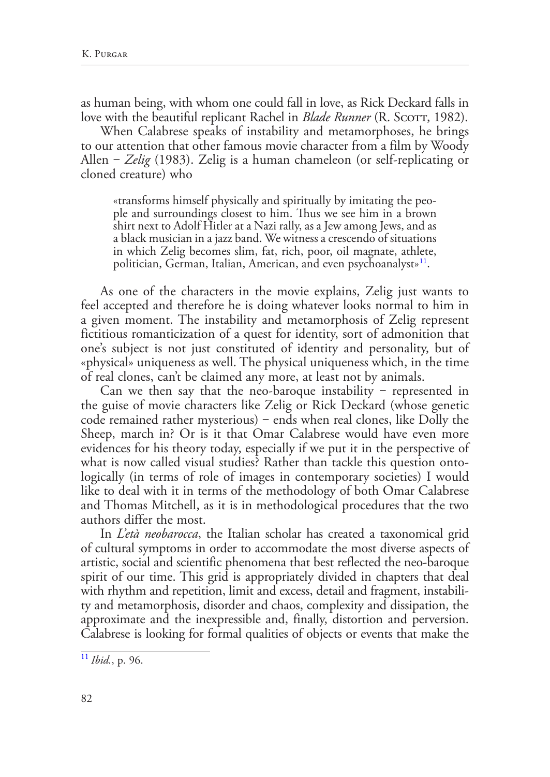as human being, with whom one could fall in love, as Rick Deckard falls in love with the beautiful replicant Rachel in *Blade Runner* (R. Scorr, 1982).

When Calabrese speaks of instability and metamorphoses, he brings to our attention that other famous movie character from a film by Woody Allen - Zelig (1983). Zelig is a human chameleon (or self-replicating or cloned creature) who

<span id="page-5-1"></span>«transforms himself physically and spiritually by imitating the peo- ple and surroundings closest to him. Thus we see him in a brown shirt next to Adolf Hitler at a Nazi rally, as a Jew among Jews, and as a black musician in a jazz band. We witness a crescendo of situations in which Zelig becomes slim, fat, rich, poor, oil magnate, athlete, politician, German, Italian, American, and even psychoanalyst»<sup>[11](#page-5-0)</sup>.

As one of the characters in the movie explains, Zelig just wants to feel accepted and therefore he is doing whatever looks normal to him in a given moment. The instability and metamorphosis of Zelig represent fictitious romanticization of a quest for identity, sort of admonition that one's subject is not just constituted of identity and personality, but of «physical» uniqueness as well. The physical uniqueness which, in the time of real clones, can't be claimed any more, at least not by animals.

Can we then say that the neo-baroque instability  $-$  represented in the guise of movie characters like Zelig or Rick Deckard (whose genetic  $code$  remained rather mysterious)  $-$  ends when real clones, like Dolly the Sheep, march in? Or is it that Omar Calabrese would have even more evidences for his theory today, especially if we put it in the perspective of what is now called visual studies? Rather than tackle this question ontologically (in terms of role of images in contemporary societies) I would like to deal with it in terms of the methodology of both Omar Calabrese and Thomas Mitchell, as it is in methodological procedures that the two authors differ the most.

In *L'età neobarocca*, the Italian scholar has created a taxonomical grid of cultural symptoms in order to accommodate the most diverse aspects of artistic, social and scientific phenomena that best reflected the neo-baroque spirit of our time. This grid is appropriately divided in chapters that deal with rhythm and repetition, limit and excess, detail and fragment, instability and metamorphosis, disorder and chaos, complexity and dissipation, the approximate and the inexpressible and, finally, distortion and perversion. Calabrese is looking for formal qualities of objects or events that make the

<span id="page-5-0"></span>[<sup>11</sup>](#page-5-1) *Ibid.*, p. 96.